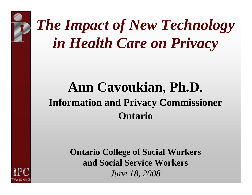

WWW.IDC.ON.CI

# *The Impact of New Technology in Health Care on Privacy*

#### **Ann Cavoukian, Ph.D. Ann Cavoukian, Ph.D. Information and Privacy Commissioner Ontario**

**Ontario College of Social Workers and Social Service Workers** *June 18, 2008*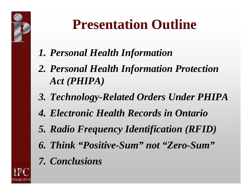

#### **Presentation Outline**

- *1. Personal Health Information*
- *2. Personal Health Information Protection Act (PHIPA)*
- *3. Technology-Related Orders Under PHIPA*
- *4. Electronic Health Records in Ontario*
- *5. Radio Frequency Identification (RFID)*
- *6. Think "Positive-Sum" not "Zero-Sum"*
- *7. Conclusions*

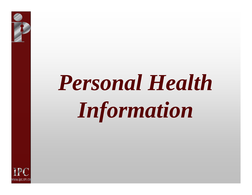

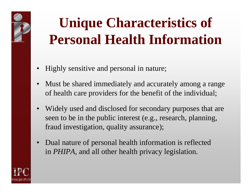## **Unique Characteristics of Personal Health Information**

- $\bullet$ Highly sensitive and personal in nature;
- Must be shared immediately and accurately among a range of health care providers for the benefit of the individual;
- •Widely used and disclosed for secondary purposes that are seen to be in the public interest (e.g., research, planning, fraud investigation, quality assurance);
- •Dual nature of personal health information is reflected in *PHIPA,* and all other health privacy legislation.

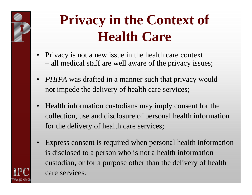

www.ipc.on.ca

### **Privacy in the Context of Health Care**

- Privacy is not a new issue in the health care context – all medical staff are well aware of the privacy issues;
- *PHIPA* was drafted in a manner such that privacy would not impede the delivery of health care services;
- $\bullet$ Health information custodians may imply consent for the collection, use and disclosure of personal health information for the delivery of health care services;
- •Express consent is required when personal health information is disclosed to a person who is not a health information custodian, or for a purpose other than the delivery of health care services.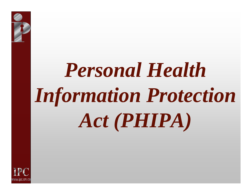# *Personal Health Information Protection Act (PHIPA)*

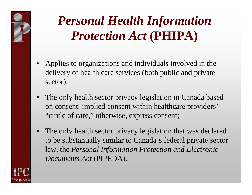

#### *Personal Health Information Protection Act* **(PHIPA)**

- Applies to organizations and individuals involved in the delivery of health care services (both public and private sector);
- •The only health sector privacy legislation in Canada based on consent: implied consent within healthcare providers' "circle of care," otherwise, express consent;
- •The only health sector privacy legislation that was declared to be substantially similar to Canada's federal private sector law, the *Personal Information Protection and Electronic Documents Act* (PIPEDA).

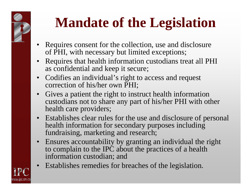

www.ipc.on.ca

### **Mandate of the Legislation**

- Requires consent for the collection, use and disclosure of PHI, with necessary but limited exceptions;
- Requires that health information custodians treat all PHI as confidential and keep it secure;
- Codifies an individual's right to access and request correction of his/her own PHI;
- •Gives a patient the right to instruct health information custodians not to share any part of his/her PHI with other health care providers;
- Establishes clear rules for the use and disclosure of personal health information for secondary purposes including fundraising, marketing and research;
- Ensures accountability by granting an individual the right to complain to the IPC about the practices of a health information custodian; and
- •Establishes remedies for breaches of the legislation.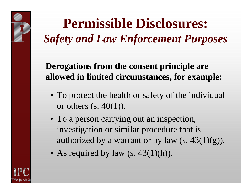#### **Permissible Disclosures:** *Safety and Law Enforcement Purposes*

**Derogations from the consent principle are allowed in limited circumstances, for example:**

- To protect the health or safety of the individual or others  $(s. 40(1))$ .
- To a person carrying out an inspection, investigation or similar procedure that is authorized by a warrant or by law  $(s. 43(1)(g))$ .
- As required by law (s. 43(1)(h)).

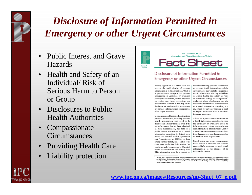

#### *Disclosure of Information Permitted in Emergency or other Urgent Circumstances*

- •Public Interest and Grave Hazards
- •Health and Safety of an Individual/ Risk of Serious Harm to Person or Group
- Disclosures to Public Health Authorities
- •Compassionate **Circumstances**
- Providing Health Care
- •Liability protection



Ann Cavoukian, Ph.D. Information and Privacy Commissioner/Ontario **Fact Sheet** 

#### Disclosure of Information Permitted in **Emergency or other Urgent Circumstances**

Privacy legislation in Ontario does not prevent the rapid sharing of personal information in certain situations. While it is appropriate to recognize that personal information is protected by Ontario's privacy and access laws, it is also important to realize that these protections are not intended to stand in the way of the disclosure of vital - and in some cases, life-saving - information in emergency or other urgent situations.

In emergency and limited other situations, personal information, including personal health information, may need to be disclosed in a timely fashion, even if the person's consent has not been obtained. In such circumstances, the head of a public sector institution or a health information custodian (a defined term under the Personal Health Information and Protection Act or PHIPA), or those acting on their behalf, can - and in some cases must - disclose information that would normally be protected by Ontario's access to information and privacy laws. This information may be a record or records containing personal information or personal health information, and the circumstances may include emergencies or critical situations affecting individuals or public health and safety, as well as situations calling for compassion.<sup>3</sup> Although these disclosures are the responsibility of the head of an institution or a health information custodian, it is important for anyone working in such settings to understand what is permitted in certain situations.

A head of a public sector institution or a health information custodian is given the authority by Ontario's access to information and privacy laws to disclose such information. These laws also protect a health information custodian or a head from damages, provided that the custodian or head has acted in good faith.

Listed below are some circumstances under which a custodian can disclose personal information or personal health information, in the absence of an individual's consent.



<sup>&</sup>lt;sup>1</sup> "Head," and "petronal information" are defined terms under the Freedow of Information and Protection of Princey<br>Act (FIPM) and the Montcipal Freedom of Information and Protection of Princey Act (MFIPM). "Health informa Please see http://www.e-laws.gov.on.ca/.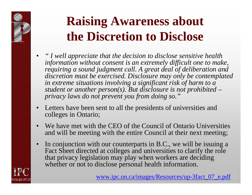#### **Raising Awareness about the Discretion to Disclose**

- •*" I well appreciate that the decis ion to disclose sensitive health information without consent is an extremely difficult one to make, requiring a sound judgment call. A great deal of deliberation and discretion must be exercised. Disclosure may only be contemplated in extreme situations involving a significant risk of harm to a student or another person(s). But disclosure is not prohibited – privacy laws do not prevent you from doing so."*
- •Letters have been sent to all the presidents of universities and colleges in Ontario;
- •We have met with the CEO of the Council of Ontario Universities and will be meeting with the entire Council at their next meeting;
- •In conjunction with our counterparts in B.C., we will be issuing a Fact Sheet directed at colleges and universities to clarify the role that privacy legislation may play when workers are deciding whether or not to disclose personal health information.



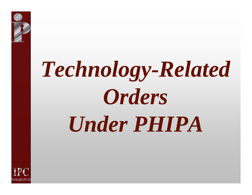

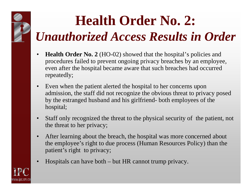#### **Health Order No. 2:** *Unauthorized Access Results in Order*

- •• **Health Order No. 2** (HO-02) showed that the hospital's policies and procedures failed to prevent ongoing privacy breaches by an employee, even after the hospital became aware that such breaches had occurred repeatedly;
- •Even when the patient alerted the hospital to her concerns upon admission, the staff did not recognize the obvious threat t o privacy posed by the estranged husband and his girlfriend- both employees of the hospital;
- $\bullet$ Staff only recognized the threat to the physical security of the patient, not the threat to her privacy;
- •After learning about the breach, the hospital was more concerned about the employee's right to due process (Human Resources Policy) than the patient's right to privacy;
- •Hospitals can have both – but HR cannot trump privacy.

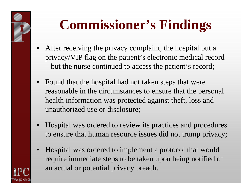

### **Commissioner's Findings**

- After receiving the privacy complaint, the hospital put a privacy/VIP flag on the patient's electronic medical record but the nurse continued to access the patient's record;
- Found that the hospital had not taken steps that were reasonable in the circumstances to ensure that the personal health information was protected against theft, loss and unauthorized use or disclosure;
- •Hospital was ordered to review its practices and procedures to ensure that human resource issues did not trump privacy;
- •Hospital was ordered to implement a protocol that would require immediate steps to be taken upon being notified of an actual or potential privacy breach.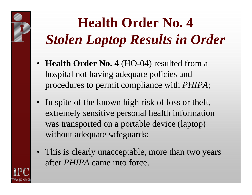## **Health Order No. 4** *Stolen Laptop Results in Order*

- **Health Order No. 4** (HO-04) resulted from a hospital not having adequate policies and procedures to permit compliance with *PHIPA*;
- In spite of the known high risk of loss or theft, extremely sensitive personal health information was transported on a portable device (laptop) without adequate safeguards;
- This is clearly unacceptable, more than two years after *PHIPA* came into force.

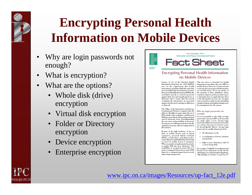

#### **Encrypting Personal Health Information on Mobile Devices**

- •Why are login passwords not enough?
- •What is encryption?
- •What are the options?
	- Whole disk (drive) encryption
	- Virtual disk encryption
	- Folder or Directory encryption
	- Device encryption
	- •Enterprise encryption



Ann Cavoukian, Ph.D. Information and Privacy Commissioner/Ontario **Fact Sheet** 

#### **Encrypting Personal Health Information** on Mobile Devices

Section 12. (1) of the Personal Health Information Protection Act. 2004 (PHIPA) sets out the requirement that health information custodians shall take steps that are reasonable in the circumstances to ensure that personal health information (PHI) in the custodian's custody or control is protected against theft, loss and unauthorized use or disclosure and to ensure that the records containing the information are protected against unauthorized copying, modification or disposal.

The Office of the Information and Privacy Commissioner/Ontario recognizes that the delivery of health care may require the use of PHI outside of the workplace, and that such PHI may most effectively be transported and used in electronic form. Notwithstanding the ease of use and portability of electronic documents, it is still important that only the minimum necessary data be transported in this manner.

Because of the high incidence of loss or theft of mobile devices such as laptop computers, personal digital assistants (PDAs), or flash drives, custodians need to ensure that personal health information that is stored on mobile devices is encrypted. When encryption is implemented properly, it renders PHI safe from disclosure. The availability of encryption means that it is easier to safeguard electronic records of PHI than it is to safeguard paper-based records when being transported.

This fact sheet is intended for health information custodians who store PHI on mobile devices. However, it is also relevant to anyone who stores personal information on a mobile device. If you are unsure of the meaning of these guidelines, please consult a computer systems security expert to determine how to apply this fact sheet to the information in your care. In many cases, encryption can be as easy as installing a simple program and implementing proper key management for the system.

#### Why are login passwords not enough?

It is not acceptable to rely solely on login passwords to protect PHI on devices that are easily stolen or lost. 'Strong' login passwords will prevent casual access to data on a device, but may not prevent access by knowledgeable thieves. Strong login passwords are usually characterized by:

- · No dictionary words;
- · A combination of letters, numbers and symbols;
- · Eight or more characters, with 14 or more being ideal.

For example, "LetMeIn" is a weak password because it uses dictionary words. On the other hand, you could remember the phrase, "My birthday is October 21 and I'm 25"

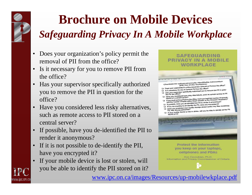

www.ipc.on.ca

#### **Brochure on Mobile Devices** *Safeguarding Privacy In A Mobile Workplace*

- Does your organization's policy permit the removal of PII from the office?
- Is it necessary for you to remove PII from the office?
- Has your supervisor specifically authorized you to remove the PII in question for the office?
- Have you considered less risky alternatives, such as remote access to PII stored on a central server?
- If possible, have you de-identified the PII to render it anonymous?
- • If it is not possible to de-identify the PII, have you encrypted it ?
- If your mobile device is lost or stolen, will you be able to identify the PII stored on it?



celiphones and PDAs Ann Cavoukian, Ph.D. Information and Privacy Commissioner of Ontario

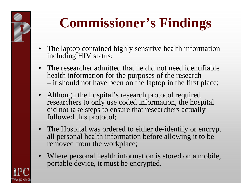

## **Commissioner's Findings**

- The laptop contained highly sensitive health information including HIV status;
- The researcher admitted that he did not need identifiable health information for the purposes of the research - it should not have been on the laptop in the first place;
- Although the hospital's research protocol required researchers to only use coded information, the hospital did not take steps to ensure that researchers actually followed this protocol;
- The Hospital was ordered to either de-identify or encrypt all personal health information before allowing it to be removed from the workplace;
- Where personal health information is stored on a mobile, portable device, it must be encrypted.

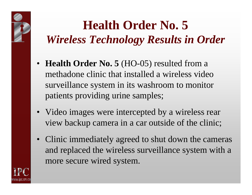

- **Health Order No. 5** (HO-05) resulted from a methadone clinic that installed a wireless video surveillance system in its washroom to monitor patients providing urine samples;
- Video images were intercepted by a wireless rear view backup camera in a car outside of the clinic;
- Clinic immediately agreed to shut down the cameras and replaced the wireless surveillance system with a more secure wired system.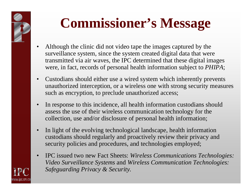

www.ipc.on.ca

### **Commissioner's Message**

- •Although the clinic did not video tape the images captured by the surveillance system, since the system created digital data that were transmitted via air waves, the IPC determined that these digital images were, in fact, records of personal health information subject to *PHIPA*;
- •Custodians should either use a wired system which inherently prevents unauthorized interception, or a wireless one with strong security measures such as encryption, to preclude unauthorized access;
- •In response to this incidence, all health information custodians should assess the use of their wireless communication technology for the collection, use and/or disclosure of personal health information;
- •In light of the evolving technological landscape, health information custodi ans should regularly and proactively review their privacy and securit y policies and procedures, and technologies employed;
- •IPC issued two new Fact Sheets: *Wireless Communications Technologies: Video Surveillance Systems* and *Wireless Communication Technologies: Safeguarding Privacy & Security.*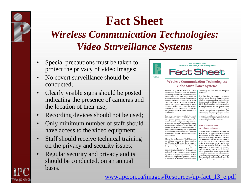# **Fact Sheet**

#### *Wireless Communication Technologies: Video Surveillance Systems*

- • Special precautions must be taken to protect the privacy of video images;
- • No covert surveillance should be conducted;
- • Clearly visible signs should be posted indicating the presence of cameras and the location of their use;
- •Recording devices should not be used;
- • Only minimum number of staff should have access to the video equipment;
- • Staff should receive technical training on the privacy and security issues;
- • Regular security and privacy audits should be conducted, on an annual basis.

www.ipc.on.ca



#### **Wireless Communication Technologies: Video Surveillance Systems**

Section 12(1) of the Personal Health | Information Protection Act (PHIPA) sets out the requirement that health information custodians shall take steps that are reasonable in the circumstances to ensure that personal health information (PHI) in the custodian's custody or control is protected against theft, loss and unauthorized use or disclosure and to ensure that the records containing the information are protected againstunauthorized copying, modification or disposal.

In a widely publicized incident, for which an Order was issued - HO-005 - images of a patient giving a urine sample in a washroom were being accessed by a wireless mobile rear-assist parking device ("back up camera"), in a car parked near a clinic. The patient was attending a methadone clinic in which patients were required to give urine samples under direct observation. The clinic was unaware that such an interception was even possible.

Closed Circuit Television (CCTV) or video surveillance cameras are being used in the Ontario health sector for a range of purposes ranging from building security to observational research. Typically, these uses increase efficiency or help prevent negative patient outcomes. The unintended consequence of video surveillance, however, regardless of its primary function, is often an invasion of personal privacy. This risk is increased if wireless communication

technology is used without adequate protection.

This fact sheet is intended to address privacy issues that arise from the use of wireless communication technologies. The standard established in Order HO-005 is that health information custodians in Ontario should not use wireless video surveillance cameras without strong security and privacy precautions. Any organization that chooses to use wireless communication technology to transmit personally identifiable information needs to take appropriate proactive measures to protect the privacy of individuals.

#### What is wireless video surveillance technology?

Wireless video surveillance systems, or wireless CCTV, typically refer to systems that transmit wireless signals to television monitors, not computer screens. The most common commercial use of this equipment is for building security. Commercially available systems do not normally have privacy or security designed into the transmission of the signal. As a result, such systems are easy to install but will allow unauthorized access unless special precautions are taken. Health information custodians must ensure that no one other than specifically authorized staff have the capability of viewing patient images.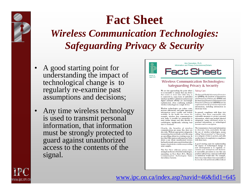

#### **Fact Sheet** *Wireless Communication Technologies: Safeguarding Privacy & Security*

- • A good starting point for understanding the impact of technological change is to regularly re-examine past assumptions and decisions;
- • Any time wireless technology is used to transmit personal information, that information must be strongly protected to guard against unauthorized access to the contents of the signal.



#### **Wireless Communication Technologies: Safeguarding Privacy & Security**

We are fast approaching the point where | Taking Care it is reasonable to assume that any device that creates or stores data either has, or is connected to, some form of embedded wireless capability. Cell phones and personal digital assistants (PDAs) are increasingly sophisticated, often combining multiple wireless technologies in a single device.

Wireless technologies can reduce costs, increase efficiencies, and make important information more readily and widely available. In the health care sector, for example, wireless data communications now make it possible for paramedics to send cardiac images and data directly to cardiologists, significantly reducing wait time to treatment.

Clearly, the benefits of wireless communications are many. But, there are also risks. Without appropriate safeguards, transmitting data wirelessly can be like using an open filing cabinet in a waiting room. In fact, this Office just recently issued an Order about a case where unauthorized viewers had inadvertently intercepted wireless video images of patients in a washroom providing urine samples.

This Fact Sheet addresses privacy issues arising from the use of wireless technologies, expanding on Fact Sheet #13, Wireless Communication Technologies: Video Surveillance Systems.

The Personal Health Information Protection Act (PHIPA), the Freedom of Information and Protection of Privacy Act (FIPPA) and the Municipal Freedom of Information and Protection of Privacy Act (MFIPPA) set out requirements for the protection of personal information, including information in electronic form.

In general, compliance with these Acts requires that those responsible take reasonable measures to protect personal information, which may include physical safeguards, using role-based access to personal information, or technological measures such as encryption.

The transmission of personal information in electronic form, particularly through the use of wireless technologies, means adding "data-in-motion" to "data-at-rest" as a category of data to protect, and adds another layer of complexity to compliance with these Acts.

A good starting point for understanding the impact of technological change or new developments is to regularly reexamine past assumptions and decisions. A reasonable precaution is one that any prudent and privacy conscious individual or institution would take. For example, there was a time when it was reasonable to browse the web and download files without

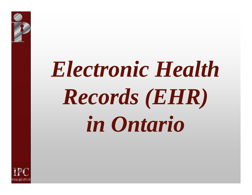# *Electronic Health Records (EHR) in Ontario*

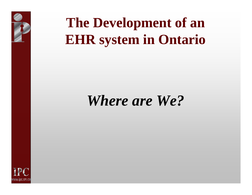

## **The Development of an EHR system in Ontario**

#### *Where are We?*

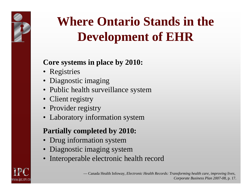

#### **Where Ontario Stands in the Development of EHR**

#### **Core systems in place by 2010:**

- Registries
- Diagnostic imaging
- Public health surveillance system
- Client registry
- Provider registry
- Laboratory information system

#### **Partially completed by 2010:**

- Drug information system
- Diagnostic imaging system
- •Interoperable electronic health record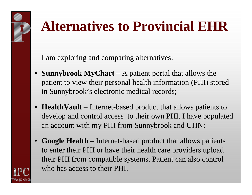## **Alternatives to Provincial EHR**

I am exploring and comparing alternatives:

www.ipc.on.ca

- **Sunnybrook MyChart** – A patient portal that allows the patient to view their personal health information (PHI) stored in Sunnybrook's electronic medical records;
- **HealthVault** Internet-based product that allows patients to develop and control access to their own PHI. I have populated an account with my PHI from Sunnybrook and UHN;
- • **Google Health** – Internet-based product that allows patients to enter their PHI or have their health care providers upload their PHI from compatible systems. Patient can also control who has access to their PHI.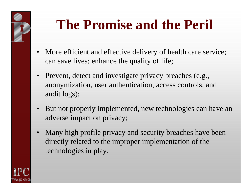

### **The Promise and the Peril**

- More efficient and effective delivery of health care service; can save lives; enhance the quality of life;
- $\bullet$ Prevent, detect and investigate privacy breaches (e.g., anonymization, user authentication, access controls, and audit logs);
- •But not properly implemented, new technologies can have an adverse impact on privacy;
- $\bullet$ Many high profile privacy and security breaches have been directly related to the improper implementation of the technologies in play.

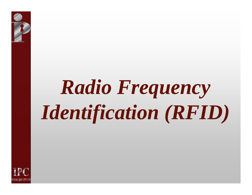# *Radio Frequency Identification (RFID)*

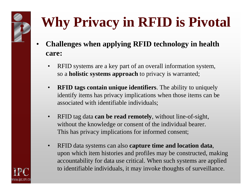# **Why Privacy in RFID is Pivotal**

- • **Challenges when applying RFID technology in health care:**
	- $\bullet$ RFID systems are a key part of an overall information system, so a **holistic systems approach** to privacy is warranted;
	- $\bullet$  **RFID tags contain unique identifiers**. The ability to uniquely identify items has privacy implications when those items can be associated with identifiable individuals;
	- $\bullet$ RFID tag data **can be read remotely**, without line-of-sight, without the knowledge or consent of the individual bearer. This has privacy implications for informed consent;
	- $\bullet$ RFID data systems can also **capture time and location data**, upon which item histories and profiles may be constructed, making accountability for data use critical. When such systems are applied to identifiable individuals, it may invoke thoughts of surveillance.

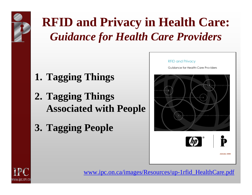

**RFID and Privacy in Health Care:**  *Guidance for Health Care Providers*

- **1. Tagging Things**
- **2. Tagging Things Associated with People**
- **3. Tagging People**



Guidance for Health-Care Providers







www.ipc.on.ca/images/Resources/up-1rfid\_HealthCare.pdf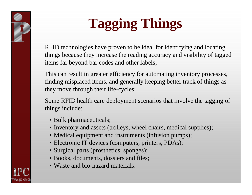# **Tagging Things**

RFID technologies have proven to be ideal for identifying and locating things because they increase the reading accuracy and visibility of tagged items far beyond bar codes and other labels;

This can result in greater efficiency for automating inventory processes, finding misplaced items, and generally keeping better track of things as they move through their life-cycles;

Some RFID health care deployment scenarios that involve the tagging of things include:

- Bulk pharmaceuticals;
- Inventory and assets (trolleys, wheel chairs, medical supplies);
- Medical equipment and instruments (infusion pumps);
- Electronic IT devices (computers, printers, PDAs);
- Surgical parts (prosthetics, sponges);
- Books, documents, dossiers and files;
- Waste and bio-hazard materials.

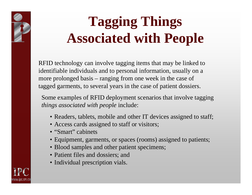

RFID technology can invol ve tagging items that may be linked to identifiable individuals and to personal information, usually on <sup>a</sup> more prolonged basis – ranging from one week in the case of tagged garments, to several years in the case of patient dossiers.

Some examples of RFID deployment scenarios that involve tagging *things associated with people* include:

- Readers, tablets, mobile and other IT devices assigned to staff;
- Access cards assigned to staff or visitors;
- "Smart" cabinets
- Equipment, garments, or spaces (rooms) assigned to patients;
- Blood samples and other patient specimens;
- Patient files and dossiers; and
- Individual prescription vials.

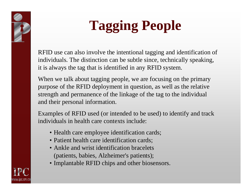

# **Tagging People**

RFID use can also involve the intentional tagging and identification of individuals. The distinction can be subtle since, technically speaking, it is always the tag that is identified in any RFID system.

When we talk about tagging people, we are focusing on the primary purpose of the RFID deployment in question, as well as the relative strengt h and permanence of the linkage of the tag to the individual and their personal information.

Examples of RFID used (or intended to be used) to identify and track individuals in health care contexts include:

- Health care employee identification cards;
- Patient health care identification cards;
- Ankle and wrist identification bracelets (patients, babies, Alzheimer's patients);
- Implantable RFID chips and other biosensors.

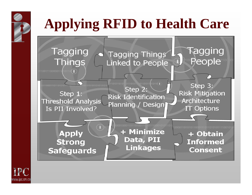## **Applying RFID to Health Care**



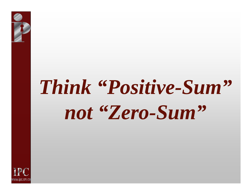

# *Think "Positive-Sum" not "Zero-Sum"*

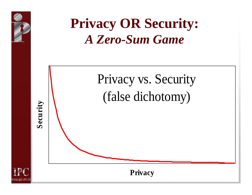

#### **Privacy OR Security:** *A Zero-Sum Game*





**Privacy**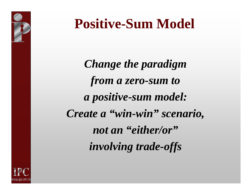

#### **Positive-Sum Model**

*Change the paradigm from a zero-sum to a positive-sum model: Create a "win-win" scenario, not an "either/or" involving trade-offs*

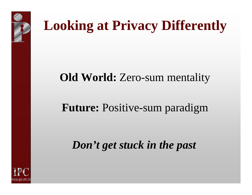

### **Looking at Privacy Differently**

#### **Old World:** Zero-sum mentality

#### **Future:** Positive-sum paradigm

#### *Don't get stuck in the past*

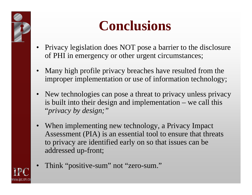

### **Conclusions**

- •Privacy legislation does NOT pose a barrier to the disclosure of PHI in emergency or other urgent circumstances;
- $\bullet$ Many high profile privacy breaches have resulted from the improper implementation or use of information technology;
- •New technologies can pose a threat to privacy unless privacy is built into their design and implementation – we call this "*privacy by design;"*
- •When implementing new technology, a Privacy Impact Assessment (PIA) is an essential tool to ensure that threats to privacy are identified early on so that issues can be addressed up-front;
- Think "positive-sum" not "zero-sum." •www.ipc.on.ca